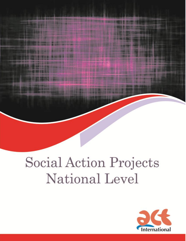# Social Action Projects National Level

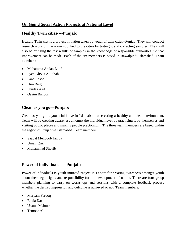# **On Going Social Action Projects at National Level**

## **Healthy Twin cities----Punjab:**

Healthy Twin city is a project initiation taken by youth of twin cities--Punjab. They will conduct research work on the water supplied to the cities by testing it and collecting samples. They will also be bringing the test results of samples in the knowledge of responsible authorities. So that improvement can be made. Each of the six members is based in Rawalpindi/Islamabad. Team members:

- Mohamma Arslan Latif
- Syed Ghous Ali Shah
- Sana Rasool
- Hira Baig
- Sundas Asif
- Oasim Banoori

## **Clean as you go---Punjab:**

Clean as you go is youth initiative in Islamabad for creating a healthy and clean environment. Team will be creating awareness amongst the individual level by practicing it by themselves and visiting public places and making people practicing it. The three team members are based within the region of Punjab i-e Islamabad. Team members:

- Saadat Mehboob Janjua
- Umair Qazi
- Mohammad Shoaib

## **Power of individuals-----Punjab:**

Power of individuals is youth initiated project in Lahore for creating awareness amongst youth about their legal rights and responsibility for the development of nation. There are four group members planning to carry on workshops and sessions with a complete feedback process whether the desired impression and outcome is achieved or not. Team members:

- Maryam Farooq
- Rabia Dar
- Usama Mahmood
- Tamoor Ali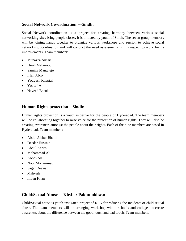## **Social Network Co-ordination ---Sindh:**

Social Network coordination is a project for creating harmony between various social networking sites bring people closer. It is initiated by youth of Sindh. The seven group members will be joining hands together to organize various workshops and session to achieve social networking coordination and will conduct the need assessments in this respect to work for its improvements. Team members:

- Munazza Ansari
- Hirah Mahmood
- Samina Mangnejo
- Irfan Abro
- Yougesh Kheptal
- Yousaf Ali
- Naveed Bhatti

# **Human Rights protection---Sindh:**

Human rights protection is a youth initiative for the people of Hyderabad. The team members will be collaborating together to raise voice for the protection of human rights. They will also be creating awareness amongst the people about their rights. Each of the nine members are based in Hyderabad. Team members:

- Abdul Jabbar Bhatti
- Deedar Hussain
- Abdul Karim
- Mohammad Ali
- Abbas Ali
- Noor Mohammad
- Sagar Deewan
- Mahvish
- Imran Khan

## **Child/Sexual Abuse----Khyber Pakhtunkhwa:**

Child/Sexual abuse is youth instigated project of KPK for reducing the incidents of child/sexual abuse. The team members will be arranging workshop within schools and colleges to create awareness about the difference between the good touch and bad touch. Team members: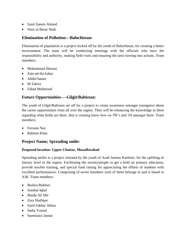- Syed Zaeem Ahmed
- Noor ul Basar Shah

## **Elimination of Pollution---Balochistan:**

Elimination of population is a project kicked off by the youth of Balochistan, for creating a better environment. The team will be conducting meetings with the officials who have the responsibility and authority, making field visits and ensuring the laws turning into actions. Team members:

- Mohammad Sherani
- Zain ud din kakar
- Abdul hanan
- M Zakria
- Fahad Mehmood

# **Future Opportunities----Gilgit/Baltistan:**

The youth of Gilgit/Baltistan set off for a project to create awareness amongst youngsters about the career opportunities from all over the region. They will be enhancing the knowledge in them regarding what fields are there, that is creating know how on 5W's and 1H amongst them. Team members:

- Farzana Naz
- Rahmat Khan

## **Project Name; Spreading smile:**

#### **Proposed location: Upper Chattar, Muzaffarabad**

Spreading smiles is a project initiated by the youth of Azad Jammu Kashmir, for the uplifting of literary level in the region. Facilitating the society/people to get a hold on primary education, provide teacher training, and special fund raising for appreciating the efforts of students with excellent performances. Comprising of seven members each of them belongs to and is based in AJK. Team members:

- Bushra Bukhari
- Sumbal Iqbal
- Maida Ali Mir
- Zara Shafique
- Syed Fakhar Abbas
- Sadia Yousaf
- Summaira Jannat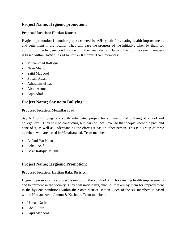# **Project Name; Hygienic promotion:**

#### **Proposed location: Hattian District.**

Hygienic promotion is another project catered by AJK youth for creating health improvements and betterment in the locality. They will ease the progress of the initiative taken by them for uplifting of the hygiene conditions within their own district Hattian. Each of the seven members is based within Hattian, Azad Jammu & Kashmir. Team members:

- Muhammad Raffique
- Nasir Shafiq
- Sajid Maqbool
- Zubair Awan
- Athasham-ul-haq
- Abrar Ahmed
- Aqib Altaf

## **Project Name; Say no to Bullying:**

#### **Proposed location: Muzaffarabad**

Say NO to Bullying is a youth anticipated project for elimination of bullying at school and college level. They will be conducting seminars on local level so that people know the pros and cone of it, as well as understanding the effects it has on other person. This is a group of three members who are based in Muzaffarabad. Team members:

- Asfand Yar Khan
- Sohail Asif
- Basir Rafique Mughal

## **Project Name; Hygienic Promotion:**

#### **Proposed location: Hattian Bala, District.**

Hygienic promotion is a project taken up by the youth of AJK for creating health improvements and betterment in the vicinity. They will initiate hygienic uplift taken by them for improvement in the hygiene conditions within their own district Hattian. Each of the six members is based within Hattian, Azad Jammu & Kashmir. Team members:

- Usman Nasir
- Abdul Rauf
- Sajid Maqbool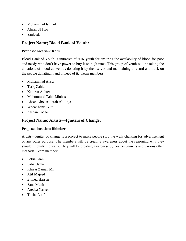- Mohammad Islmail
- Ahsan Ul Haq
- Sanjeeda

# **Project Name; Blood Bank of Youth:**

#### **Proposed location: Kotli**

Blood Bank of Youth is initiative of AJK youth for ensuring the availability of blood for poor and needy who don't have power to buy it on high rates. This group of youth will be taking the donations of blood as well as donating it by themselves and maintaining a record and track on the people donating it and in need of it. Team members:

- Mohammad Ansar
- Tariq Zahid
- Kamran Akhter
- Muhommad Tahir Minhas
- Ahsan Ghouse Farah Ali Raja
- Waqar hanif Butt
- Zeshan Toqeer

## **Project Name; Artists—Igniters of Change:**

#### **Proposed location: Bhimber**

Artists—igniter of change is a project to make people stop the walk chalking for advertisement or any other purpose. The members will be creating awareness about the reasoning why they shouldn't chalk the walls. They will be creating awareness by posters banners and various other methods. Team members:

- Sobia Kiani
- Saba Usman
- Khizar Zaman Mir
- Atif Majeed
- Ehmed Hassan
- Sana Munir
- Areeba Naseer
- Tooba Latif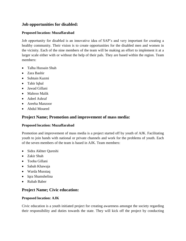## **Job opportunities for disabled:**

#### **Proposed location: Muzaffarabad**

Job opportunity for disabled is an innovative idea of SAP's and very important for creating a healthy community. Their vision is to create opportunities for the disabled men and women in the vicinity. Each of the nine members of the team will be making an effort to implement it at a larger scale either with or without the help of their pals. They are based within the region. Team members:

- Talha Hussain Shah
- Zara Bashir
- Subtain Kazmi
- Tahir Iqbal
- Jawad Gillani
- Mahroo Malik
- Adeel Ashraf
- Areeba Manzoor
- Abdul Moueed

## **Project Name; Promotion and improvement of mass media:**

#### **Proposed location: Muzaffarabad**

Promotion and improvement of mass media is a project started off by youth of AJK. Facilitating youth to join hands with national or private channels and work for the problems of youth. Each of the seven members of the team is based in AJK. Team members:

- Sidra Akhter Qureshi
- Zakir Shah
- Tooba Gillani
- Sabah Khawaja
- Warda Musstaq
- Igra Shamshelina
- Rubab Baber

## **Project Name; Civic education:**

#### **Proposed location: AJK**

Civic education is a youth initiated project for creating awareness amongst the society regarding their responsibility and duties towards the state. They will kick off the project by conducting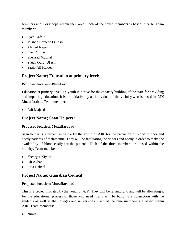seminars and workshops within their area. Each of the seven members is based in AJK. Team members:

- Syed Kafait
- Misbah Hameed Qureshi
- Ahmad Najam
- Syed Mudasi
- Shehzad Mughal
- Syeda Qurat Ul Ain
- Saqib Ali Haider

# **Project Name; Education at primary level:**

#### **Proposed location: Bhimber**

Education at primary level is a youth initiative for the capacity building of the state for providing and imparting education. It is an initiative by an individual of the vicinity who is based in AJK Muzaffarabad. Team member:

Atif Majeed

# **Project Name; Saan Helpers:**

#### **Proposed location: Muzaffarabad**

Saan helper is a project initiative by the youth of AJK for the provision of blood to poor and needy patients of thalassemia. They will be facilitating the donors and needy in order to make the availability of blood easily for the patients. Each of the three members are based within the vicinity. Team members:

- Shehryar Kiyani
- Ali Akbar
- Raja Nabeel

# **Project Name; Guardian Council:**

#### **Proposed location: Muzaffarabad**

This is a project initiated by the youth of AJK. They will be raising fund and will be allocating it for the educational process of those who need it and will be building a connection with the students as well as the colleges and universities. Each of the nine members are based within AJK. Team members:

Nimra